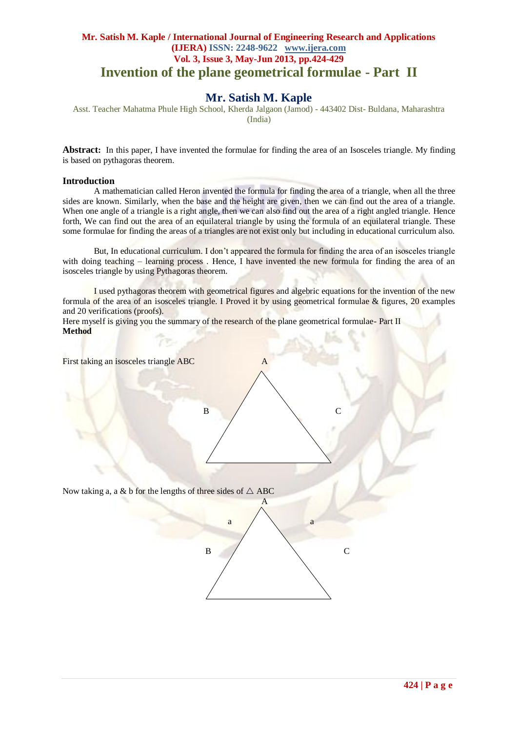## **Mr. Satish M. Kaple / International Journal of Engineering Research and Applications (IJERA) ISSN: 2248-9622 www.ijera.com Vol. 3, Issue 3, May-Jun 2013, pp.424-429 Invention of the plane geometrical formulae - Part II**

# **Mr. Satish M. Kaple**

Asst. Teacher Mahatma Phule High School, Kherda Jalgaon (Jamod) - 443402 Dist- Buldana, Maharashtra (India)

**Abstract:** In this paper, I have invented the formulae for finding the area of an Isosceles triangle. My finding is based on pythagoras theorem.

### **Introduction**

A mathematician called Heron invented the formula for finding the area of a triangle, when all the three sides are known. Similarly, when the base and the height are given, then we can find out the area of a triangle. When one angle of a triangle is a right angle, then we can also find out the area of a right angled triangle. Hence forth, We can find out the area of an equilateral triangle by using the formula of an equilateral triangle. These some formulae for finding the areas of a triangles are not exist only but including in educational curriculum also.

But, In educational curriculum. I don't appeared the formula for finding the area of an isosceles triangle with doing teaching – learning process. Hence, I have invented the new formula for finding the area of an isosceles triangle by using Pythagoras theorem.

I used pythagoras theorem with geometrical figures and algebric equations for the invention of the new formula of the area of an isosceles triangle. I Proved it by using geometrical formulae & figures, 20 examples and 20 verifications (proofs).

Here myself is giving you the summary of the research of the plane geometrical formulae- Part II **Method**

First taking an isosceles triangle ABC A  $\mathsf{B}$  / C Fig. No. 1989, Inc. 1989, Inc. 1989, Inc. 1989, Inc. 1989, Inc. 1989, Inc. 1989, Inc. 1989, Inc. 1989, Inc. 19 Now taking a, a & b for the lengths of three sides of  $\triangle$  ABC A a a  $\overline{B}$  b c  $\frac{1}{2}$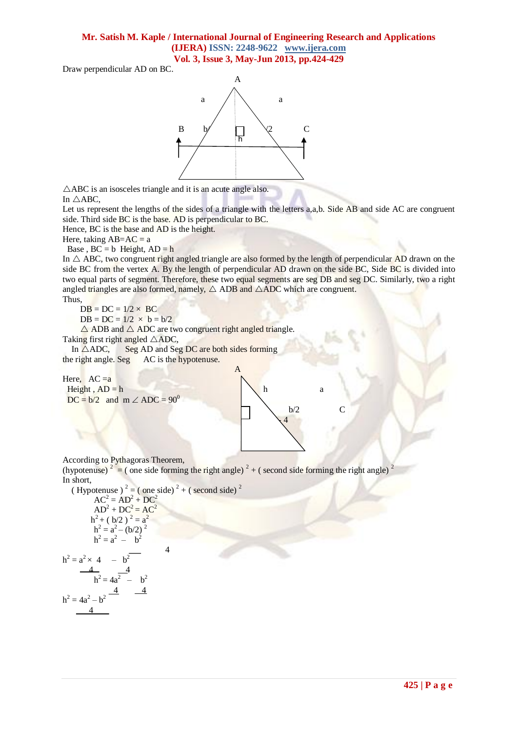# **Mr. Satish M. Kaple / International Journal of Engineering Research and Applications (IJERA) ISSN: 2248-9622 www.ijera.com**

**Vol. 3, Issue 3, May-Jun 2013, pp.424-429**

Draw perpendicular AD on BC.



 $\triangle$ ABC is an isosceles triangle and it is an acute angle also. In  $\triangle$ ABC,

Let us represent the lengths of the sides of a triangle with the letters a,a,b. Side AB and side AC are congruent side. Third side BC is the base. AD is perpendicular to BC.

Hence, BC is the base and AD is the height.

Here, taking  $AB=AC = a$ 

Base,  $BC = b$  Height,  $AD = h$ 

In  $\triangle$  ABC, two congruent right angled triangle are also formed by the length of perpendicular AD drawn on the side BC from the vertex A. By the length of perpendicular AD drawn on the side BC, Side BC is divided into two equal parts of segment. Therefore, these two equal segments are seg DB and seg DC. Similarly, two a right angled triangles are also formed, namely,  $\triangle$  ADB and  $\triangle$ ADC which are congruent.

Thus,

 $DB = DC = 1/2 \times BC$ 

 $DB = DC = 1/2 \times b = b/2$ 

 $\triangle$  ADB and  $\triangle$  ADC are two congruent right angled triangle.

Taking first right angled  $\triangle ADC$ ,

In  $\triangle ADC$ , Seg AD and Seg DC are both sides forming the right angle. Seg AC is the hypotenuse.

Here,  $AC = a$ Height,  $AD = h$  a  $DC = b/2$  and  $m \angle ADC = 90^0$  $b/2$  C



According to Pythagoras Theorem,

(hypotenuse)  $2^2 =$  (one side forming the right angle)  $2^2 +$  (second side forming the right angle)  $2^2$ In short,

(Hypotenuse)<sup>2</sup> = ( one side)<sup>2</sup> + ( second side)<sup>2</sup>  
\n
$$
AC^2 = AD^2 + DC^2
$$
  
\n $AD^2 + DC^2 = AC^2$   
\n $h^2 + (b/2)^2 = a^2$   
\n $h^2 = a^2 - (b/2)^2$   
\n $h^2 = a^2 - b^2$   
\n $h^2 = 4a^2 - b^2$   
\n $h^2 = 4a^2 - b^2$   
\n $h^2 = 4a^2 - b^2$   
\n $\frac{4}{a^2 - b^2}$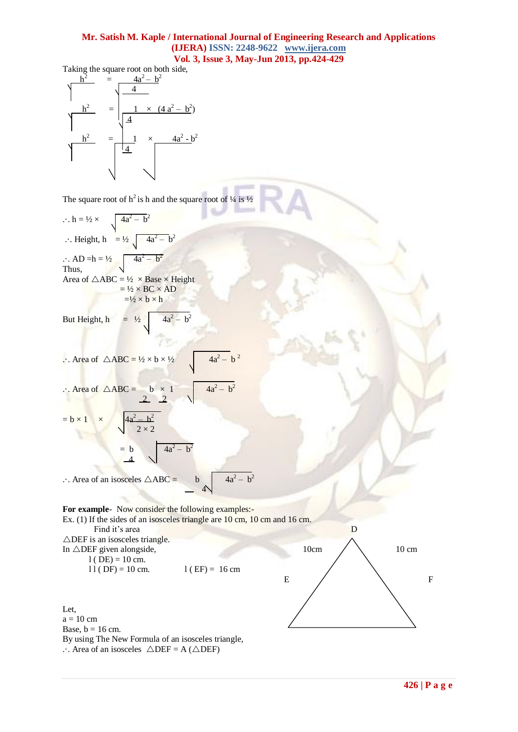Taking the square root on both side,



The square root of  $h^2$  is h and the square root of  $\frac{1}{4}$  is  $\frac{1}{2}$ 

 $\ldots$  h =  $\frac{1}{2} \times$  $-\mathbf{b}^2$  $\therefore$  Height, h = 1/2  $4a^2-b^2$ ...  $AD = h = \frac{1}{2}$  $- b<sup>2</sup>$ Thus, Area of  $\triangle ABC = \frac{1}{2} \times Base \times Height$  $= \frac{1}{2} \times BC \times AD$  $=$   $\frac{1}{2} \times b \times h$ 

But Height, 
$$
h = \frac{1}{2} \sqrt{4a^2 - b^2}
$$

 $\therefore$  Area of  $\triangle ABC = \frac{1}{2} \times b \times \frac{1}{2}$  $- b^2$ 

$$
\therefore \text{Area of } \triangle ABC = \begin{array}{c} b \times 1 \\ 2 \end{array} \sqrt{4a^2 - b^2}
$$

 $= b \times 1$ – b 2  $2 \times 2$  $= b$   $4a^2 - b^2$ 

 $\sim$   $-4$ 

 $\therefore$  Area of an isosceles  $\triangle ABC =$  $- b<sup>2</sup>$  $-4$ 

**For example**- Now consider the following examples:- Ex. (1) If the sides of an isosceles triangle are 10 cm, 10 cm and 16 cm. Find it's area D  $\triangle$ DEF is an isosceles triangle. In  $\triangle$ DEF given alongside, 10cm  $\angle$  10 cm  $l$  ( DE) = 10 cm.  $11 (DF) = 10 cm.$  l (EF) = 16 cm E  $/$  F

 $\sqrt{ }$ 

Let,  $a = 10$  cm Base,  $b = 16$  cm. By using The New Formula of an isosceles triangle,  $\therefore$  Area of an isosceles  $\triangle DEF = A (\triangle DEF)$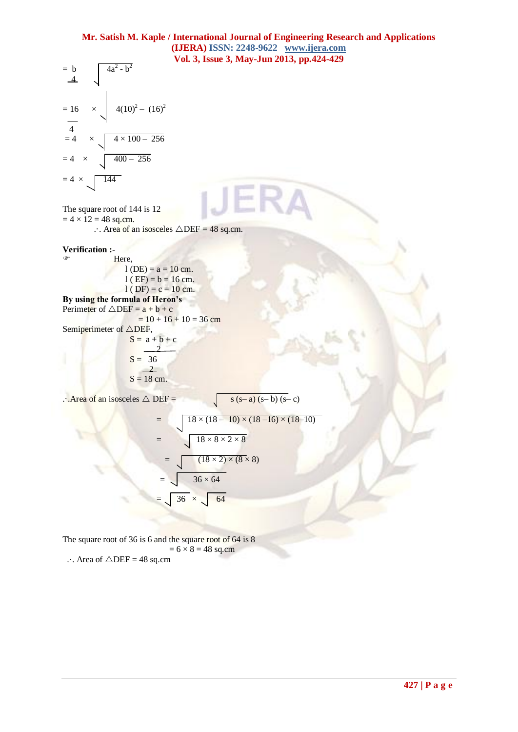$$
= \frac{b}{4}
$$
\n
$$
= 16 \times \sqrt{4(10)^2 - (16)^2}
$$
\n
$$
= 4 \times \sqrt{4 \times 100 - 256}
$$
\n
$$
= 4 \times \sqrt{144}
$$
\n
$$
= 4 \times \sqrt{144}
$$

The square root of 144 is 12  $= 4 \times 12 = 48$  sq.cm.

 $\therefore$  Area of an isosceles  $\triangle$ DEF = 48 sq.cm.

# **Verification :-**

 Here,  $l$  (DE) =  $a = 10$  cm.  $l$  ( EF) =  $b = 16$  cm.  $l$  ( DF) = c = 10 cm.

**By using the formula of Heron's** Perimeter of  $\triangle DEF = a + b + c$ 

 $= 10 + 16 + 10 = 36$  cm

Semiperimeter of  $\triangle$ DEF,  $S = a + b + c$  $\overline{2}$  $S = 36$  $\sqrt{2}$  $S = 18$  cm.

 $\therefore$  Area of an isosceles  $\triangle$  DEF = s (s– a) (s– b) (s– c)

$$
= \sqrt{\frac{18 \times (18 - 10) \times (18 - 16) \times (18 - 10)}{18 \times 8 \times 2 \times 8}}
$$

$$
= \sqrt{\frac{(18 \times 2) \times (8 \times 8)}{36 \times 64}}
$$

$$
= \sqrt{\frac{36}{4}} \times \sqrt{\frac{64}{4}}
$$

The square root of 36 is 6 and the square root of 64 is 8  $= 6 \times 8 = 48$  sq.cm

... Area of  $\triangle DEF = 48$  sq.cm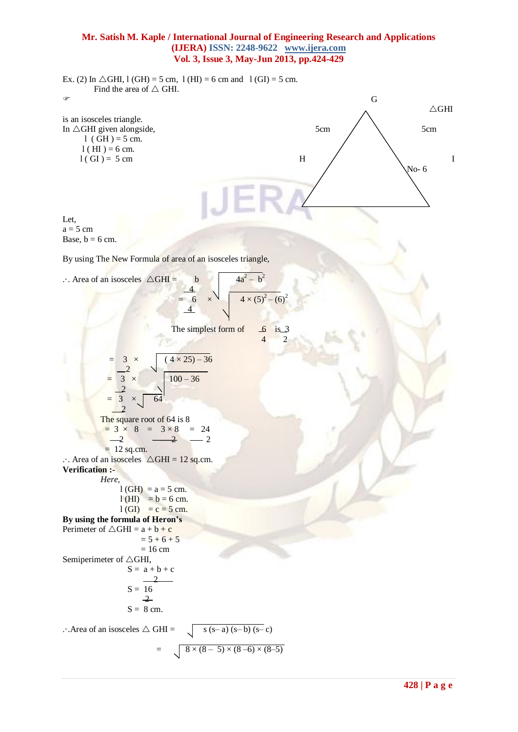Ex. (2) In  $\triangle$ GHI, l (GH) = 5 cm, l (HI) = 6 cm and l (GI) = 5 cm. Find the area of  $\triangle$  GHI.  $\sigma$  G  $\sim$   $\sim$   $\sim$   $\sim$  GHI is an isosceles triangle. In  $\triangle$ GHI given alongside, 5cm 5cm 5cm 5cm  $l$  ( GH ) = 5 cm.  $l$  ( HI ) = 6 cm.  $l(GI) = 5 \text{ cm}$  H  $\bigwedge$  I  $\sqrt{N_0}$ - 6 Let,  $a = 5$  cm Base,  $b = 6$  cm. By using The New Formula of area of an isosceles triangle,  $\therefore$  Area of an isosceles  $\triangle GHI =$  b  $- b<sup>2</sup>$  4  $= 6 \times \sqrt{4 \times (5)^2 - (6)^2}$ 4 The simplest form of  $\overline{\phantom{a}}$  is 3 4 2  $3 \times (4 \times 25) - 36$  $-2$  $3 \times 100 - 36$  2  $3 \times 64$  2 The square root of 64 is 8  $= 3 \times 8 = 3 \times 8 = 24$  $-2$   $-2$   $-2$  $= 12$  sq.cm.  $\therefore$  Area of an isosceles  $\triangle$ GHI = 12 sq.cm. **Verification :-**  *Here,*   $l$  (GH) =  $a = 5$  cm.  $l(HI) = b = 6$  cm.  $l$  (GI) = c = 5 cm. **By using the formula of Heron's** Perimeter of  $\triangle GHI = a + b + c$  $= 5 + 6 + 5$  $= 16$  cm Semiperimeter of  $\triangle$ GHI,  $S = a + b + c$  $\gamma$  $S = 16$  $-2$  $S = 8$  cm.  $\therefore$  Area of an isosceles  $\triangle$  GHI =  $\bigcup$  s (s– a) (s– b) (s– c)  $= \sqrt{8 \times (8 - 5) \times (8 - 6) \times (8 - 5)}$